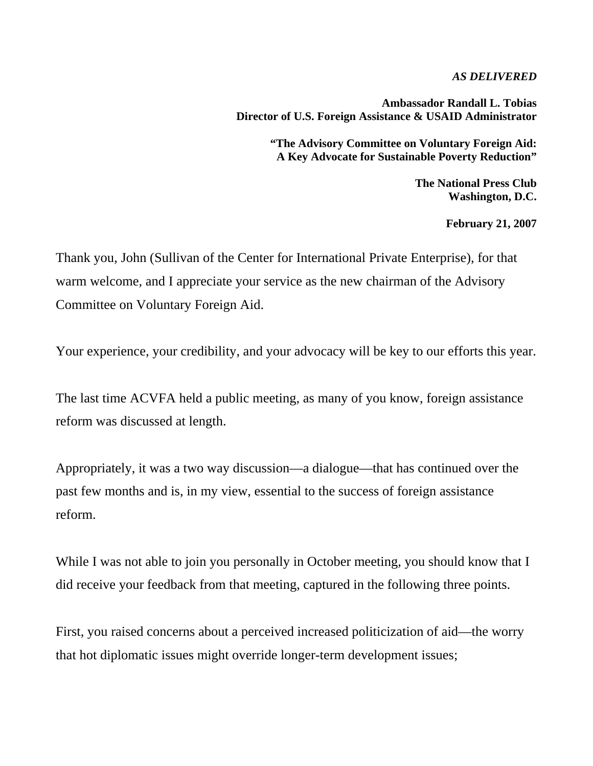*AS DELIVERED* 

**Ambassador Randall L. Tobias Director of U.S. Foreign Assistance & USAID Administrator** 

> **"The Advisory Committee on Voluntary Foreign Aid: A Key Advocate for Sustainable Poverty Reduction"**

> > **The National Press Club Washington, D.C.**

> > > **February 21, 2007**

Thank you, John (Sullivan of the Center for International Private Enterprise), for that warm welcome, and I appreciate your service as the new chairman of the Advisory Committee on Voluntary Foreign Aid.

Your experience, your credibility, and your advocacy will be key to our efforts this year.

The last time ACVFA held a public meeting, as many of you know, foreign assistance reform was discussed at length.

Appropriately, it was a two way discussion—a dialogue—that has continued over the past few months and is, in my view, essential to the success of foreign assistance reform.

While I was not able to join you personally in October meeting, you should know that I did receive your feedback from that meeting, captured in the following three points.

First, you raised concerns about a perceived increased politicization of aid—the worry that hot diplomatic issues might override longer-term development issues;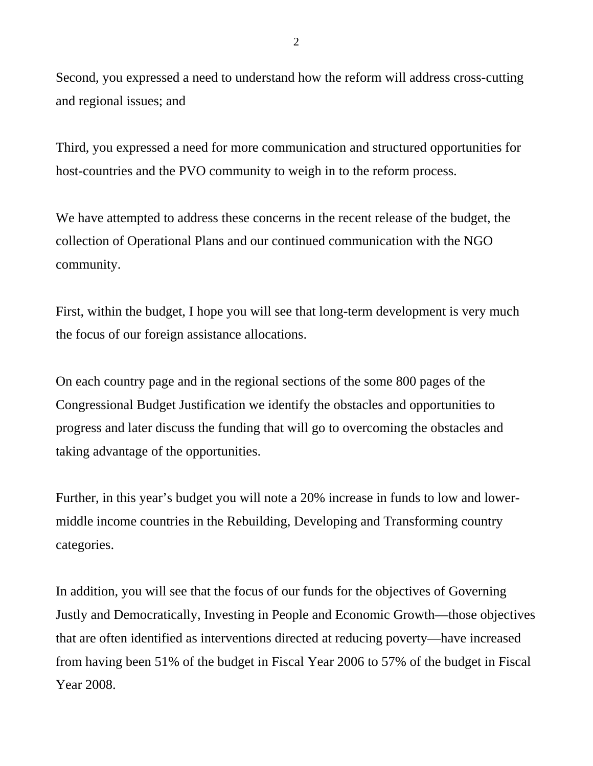Second, you expressed a need to understand how the reform will address cross-cutting and regional issues; and

Third, you expressed a need for more communication and structured opportunities for host-countries and the PVO community to weigh in to the reform process.

We have attempted to address these concerns in the recent release of the budget, the collection of Operational Plans and our continued communication with the NGO community.

First, within the budget, I hope you will see that long-term development is very much the focus of our foreign assistance allocations.

On each country page and in the regional sections of the some 800 pages of the Congressional Budget Justification we identify the obstacles and opportunities to progress and later discuss the funding that will go to overcoming the obstacles and taking advantage of the opportunities.

Further, in this year's budget you will note a 20% increase in funds to low and lowermiddle income countries in the Rebuilding, Developing and Transforming country categories.

In addition, you will see that the focus of our funds for the objectives of Governing Justly and Democratically, Investing in People and Economic Growth—those objectives that are often identified as interventions directed at reducing poverty—have increased from having been 51% of the budget in Fiscal Year 2006 to 57% of the budget in Fiscal Year 2008.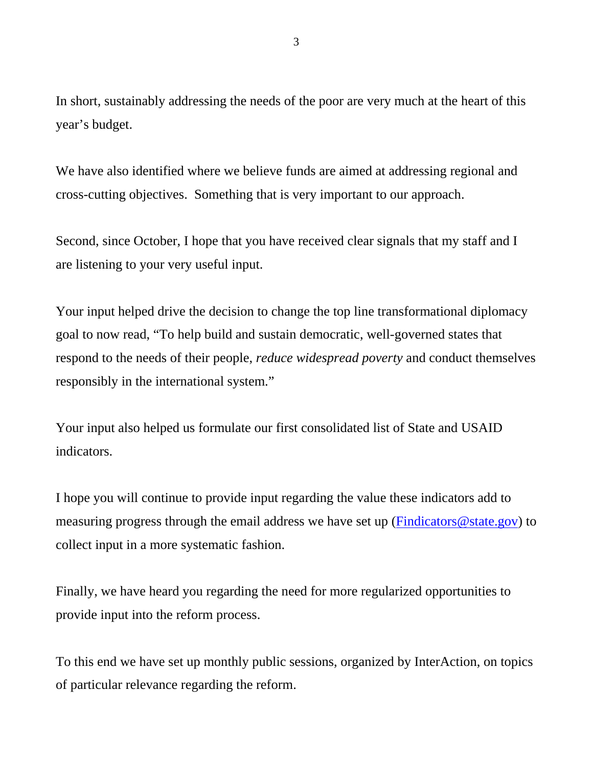In short, sustainably addressing the needs of the poor are very much at the heart of this year's budget.

We have also identified where we believe funds are aimed at addressing regional and cross-cutting objectives. Something that is very important to our approach.

Second, since October, I hope that you have received clear signals that my staff and I are listening to your very useful input.

Your input helped drive the decision to change the top line transformational diplomacy goal to now read, "To help build and sustain democratic, well-governed states that respond to the needs of their people, *reduce widespread poverty* and conduct themselves responsibly in the international system."

Your input also helped us formulate our first consolidated list of State and USAID indicators.

I hope you will continue to provide input regarding the value these indicators add to measuring progress through the email address we have set up (Findicators @state.gov) to collect input in a more systematic fashion.

Finally, we have heard you regarding the need for more regularized opportunities to provide input into the reform process.

To this end we have set up monthly public sessions, organized by InterAction, on topics of particular relevance regarding the reform.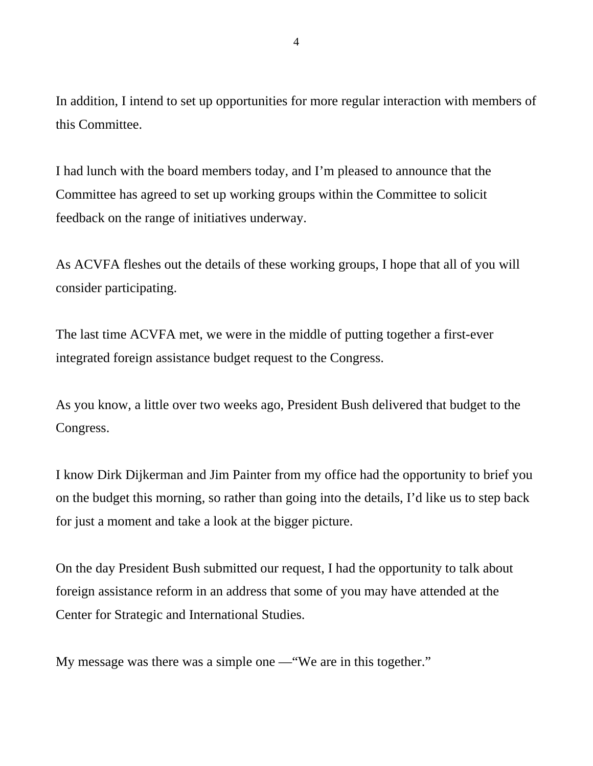In addition, I intend to set up opportunities for more regular interaction with members of this Committee.

I had lunch with the board members today, and I'm pleased to announce that the Committee has agreed to set up working groups within the Committee to solicit feedback on the range of initiatives underway.

As ACVFA fleshes out the details of these working groups, I hope that all of you will consider participating.

The last time ACVFA met, we were in the middle of putting together a first-ever integrated foreign assistance budget request to the Congress.

As you know, a little over two weeks ago, President Bush delivered that budget to the Congress.

I know Dirk Dijkerman and Jim Painter from my office had the opportunity to brief you on the budget this morning, so rather than going into the details, I'd like us to step back for just a moment and take a look at the bigger picture.

On the day President Bush submitted our request, I had the opportunity to talk about foreign assistance reform in an address that some of you may have attended at the Center for Strategic and International Studies.

My message was there was a simple one —"We are in this together."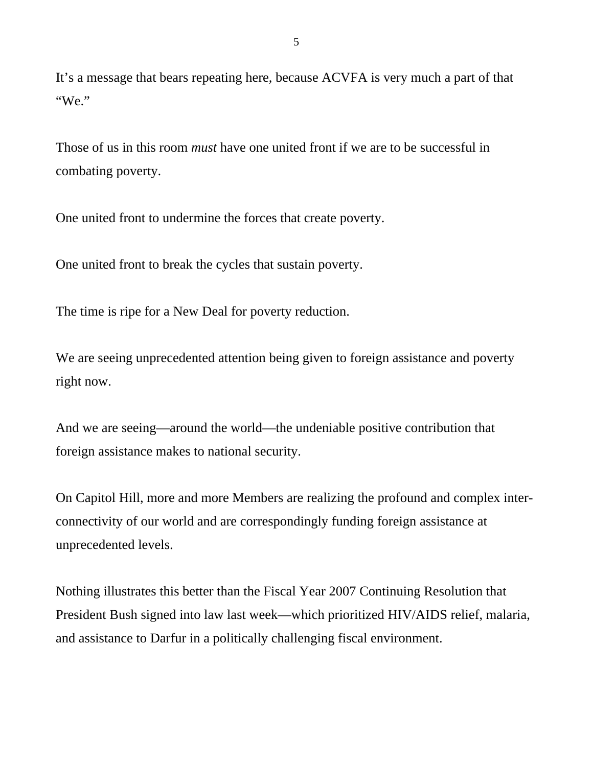It's a message that bears repeating here, because ACVFA is very much a part of that "We."

Those of us in this room *must* have one united front if we are to be successful in combating poverty.

One united front to undermine the forces that create poverty.

One united front to break the cycles that sustain poverty.

The time is ripe for a New Deal for poverty reduction.

We are seeing unprecedented attention being given to foreign assistance and poverty right now.

And we are seeing—around the world—the undeniable positive contribution that foreign assistance makes to national security.

On Capitol Hill, more and more Members are realizing the profound and complex interconnectivity of our world and are correspondingly funding foreign assistance at unprecedented levels.

Nothing illustrates this better than the Fiscal Year 2007 Continuing Resolution that President Bush signed into law last week—which prioritized HIV/AIDS relief, malaria, and assistance to Darfur in a politically challenging fiscal environment.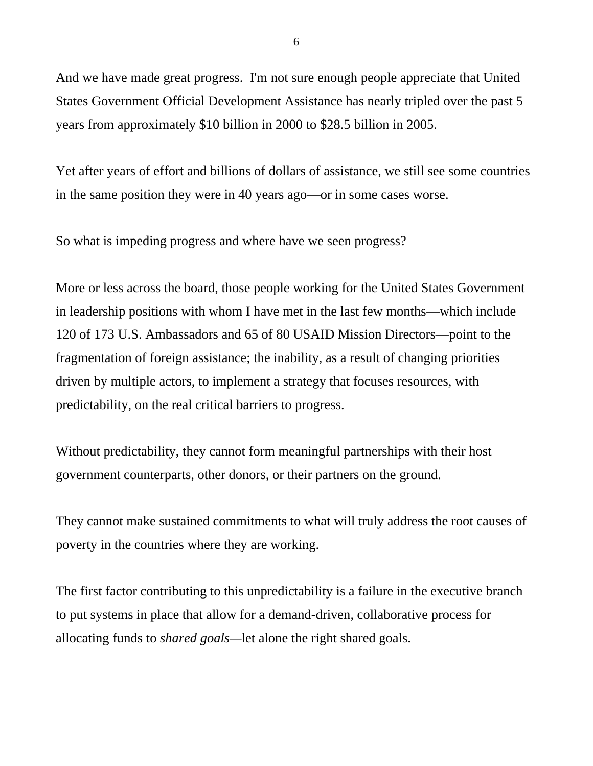And we have made great progress. I'm not sure enough people appreciate that United States Government Official Development Assistance has nearly tripled over the past 5 years from approximately \$10 billion in 2000 to \$28.5 billion in 2005.

Yet after years of effort and billions of dollars of assistance, we still see some countries in the same position they were in 40 years ago—or in some cases worse.

So what is impeding progress and where have we seen progress?

More or less across the board, those people working for the United States Government in leadership positions with whom I have met in the last few months—which include 120 of 173 U.S. Ambassadors and 65 of 80 USAID Mission Directors—point to the fragmentation of foreign assistance; the inability, as a result of changing priorities driven by multiple actors, to implement a strategy that focuses resources, with predictability, on the real critical barriers to progress.

Without predictability, they cannot form meaningful partnerships with their host government counterparts, other donors, or their partners on the ground.

They cannot make sustained commitments to what will truly address the root causes of poverty in the countries where they are working.

The first factor contributing to this unpredictability is a failure in the executive branch to put systems in place that allow for a demand-driven, collaborative process for allocating funds to *shared goals—*let alone the right shared goals.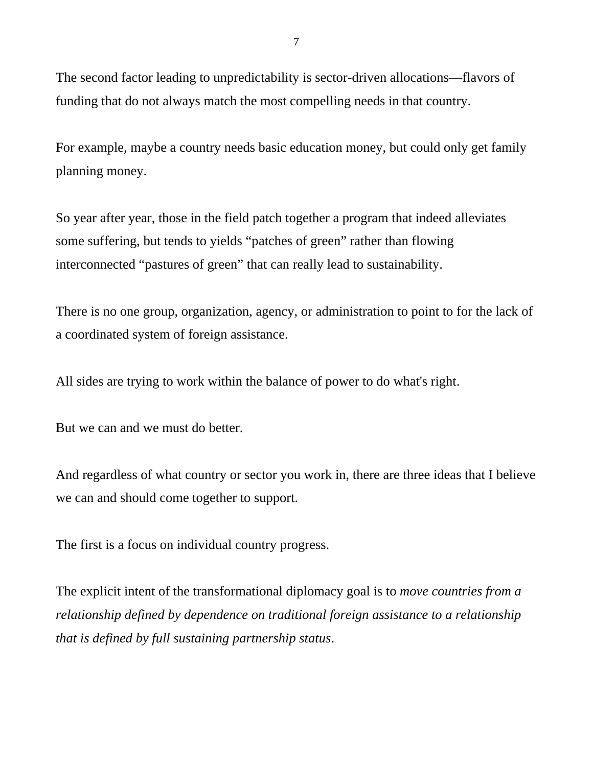The second factor leading to unpredictability is sector-driven allocations—flavors of funding that do not always match the most compelling needs in that country.

For example, maybe a country needs basic education money, but could only get family planning money.

So year after year, those in the field patch together a program that indeed alleviates some suffering, but tends to yields "patches of green" rather than flowing interconnected "pastures of green" that can really lead to sustainability.

There is no one group, organization, agency, or administration to point to for the lack of a coordinated system of foreign assistance.

All sides are trying to work within the balance of power to do what's right.

But we can and we must do better.

And regardless of what country or sector you work in, there are three ideas that I believe we can and should come together to support.

The first is a focus on individual country progress.

The explicit intent of the transformational diplomacy goal is to *move countries from a relationship defined by dependence on traditional foreign assistance to a relationship that is defined by full sustaining partnership status*.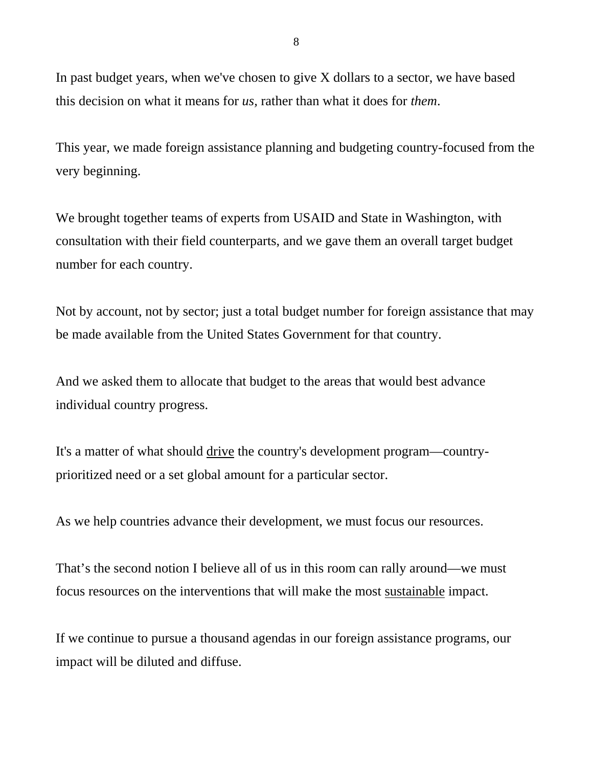In past budget years, when we've chosen to give X dollars to a sector, we have based this decision on what it means for *us,* rather than what it does for *them*.

This year, we made foreign assistance planning and budgeting country-focused from the very beginning.

We brought together teams of experts from USAID and State in Washington, with consultation with their field counterparts, and we gave them an overall target budget number for each country.

Not by account, not by sector; just a total budget number for foreign assistance that may be made available from the United States Government for that country.

And we asked them to allocate that budget to the areas that would best advance individual country progress.

It's a matter of what should drive the country's development program—countryprioritized need or a set global amount for a particular sector.

As we help countries advance their development, we must focus our resources.

That's the second notion I believe all of us in this room can rally around—we must focus resources on the interventions that will make the most sustainable impact.

If we continue to pursue a thousand agendas in our foreign assistance programs, our impact will be diluted and diffuse.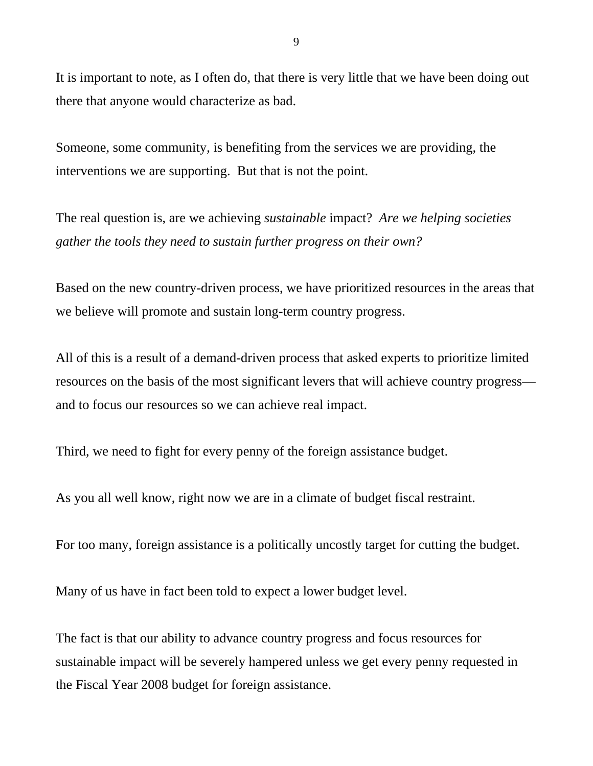It is important to note, as I often do, that there is very little that we have been doing out there that anyone would characterize as bad.

Someone, some community, is benefiting from the services we are providing, the interventions we are supporting. But that is not the point.

The real question is, are we achieving *sustainable* impact? *Are we helping societies gather the tools they need to sustain further progress on their own?*

Based on the new country-driven process, we have prioritized resources in the areas that we believe will promote and sustain long-term country progress.

All of this is a result of a demand-driven process that asked experts to prioritize limited resources on the basis of the most significant levers that will achieve country progress and to focus our resources so we can achieve real impact.

Third, we need to fight for every penny of the foreign assistance budget.

As you all well know, right now we are in a climate of budget fiscal restraint.

For too many, foreign assistance is a politically uncostly target for cutting the budget.

Many of us have in fact been told to expect a lower budget level.

The fact is that our ability to advance country progress and focus resources for sustainable impact will be severely hampered unless we get every penny requested in the Fiscal Year 2008 budget for foreign assistance.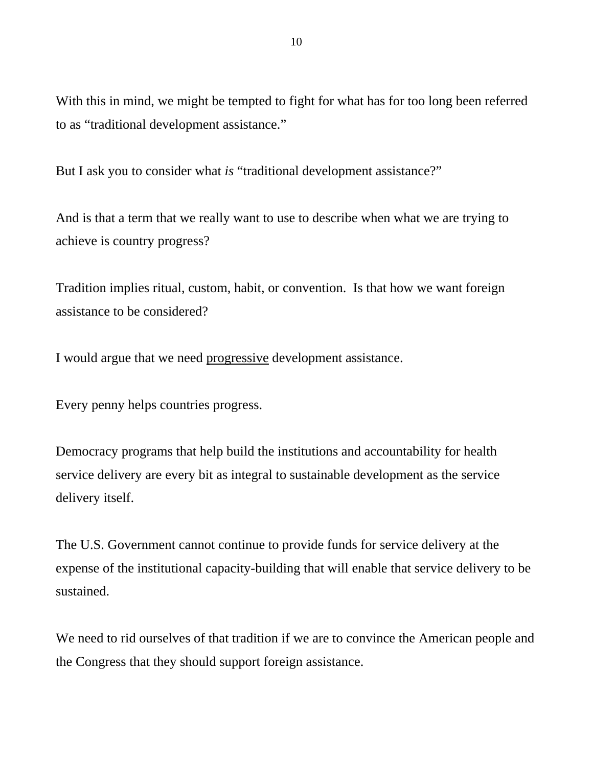With this in mind, we might be tempted to fight for what has for too long been referred to as "traditional development assistance."

But I ask you to consider what *is* "traditional development assistance?"

And is that a term that we really want to use to describe when what we are trying to achieve is country progress?

Tradition implies ritual, custom, habit, or convention. Is that how we want foreign assistance to be considered?

I would argue that we need progressive development assistance.

Every penny helps countries progress.

Democracy programs that help build the institutions and accountability for health service delivery are every bit as integral to sustainable development as the service delivery itself.

The U.S. Government cannot continue to provide funds for service delivery at the expense of the institutional capacity-building that will enable that service delivery to be sustained.

We need to rid ourselves of that tradition if we are to convince the American people and the Congress that they should support foreign assistance.